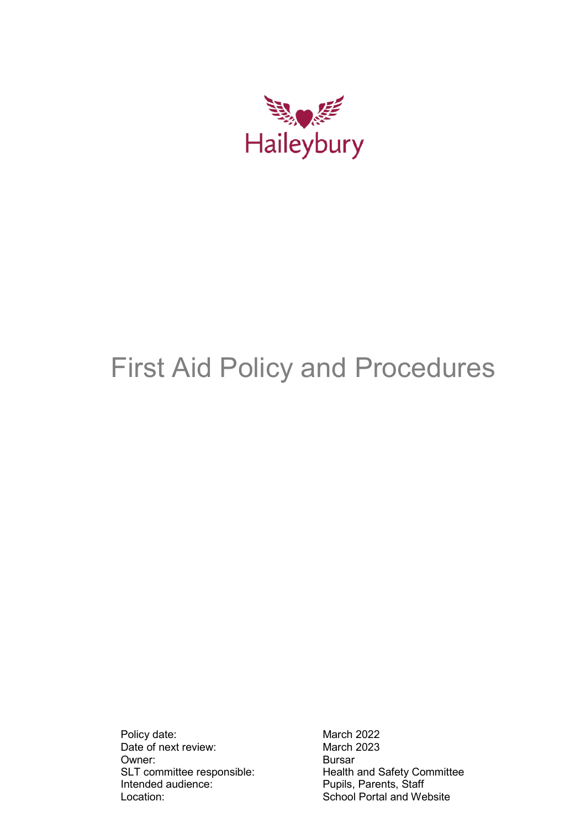

# First Aid Policy and Procedures

Policy date: March 2022<br>Date of next review: March 2023 Date of next review: Owner: Bursar<br>SLT committee responsible: Bursar<br>Health Intended audience: Pupils, Parents, Staff<br>
Location: School Portal and We

Health and Safety Committee School Portal and Website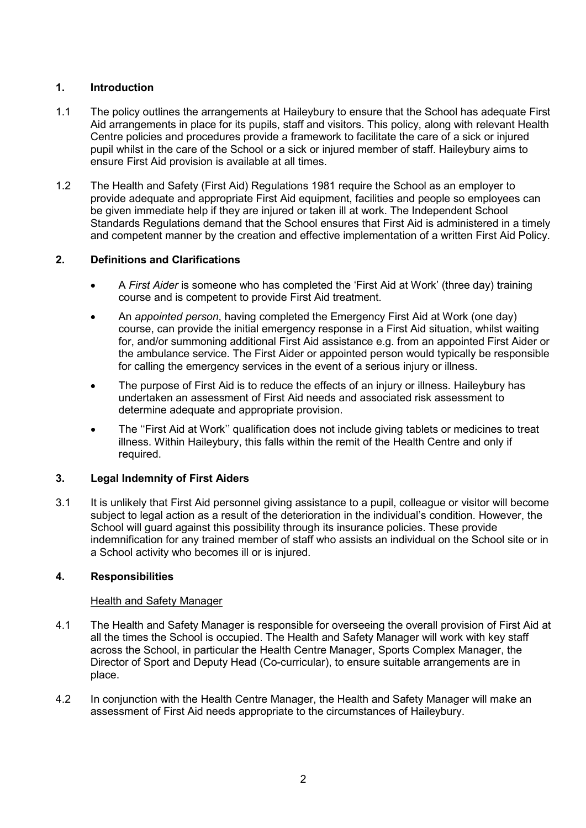# **1. Introduction**

- 1.1 The policy outlines the arrangements at Haileybury to ensure that the School has adequate First Aid arrangements in place for its pupils, staff and visitors. This policy, along with relevant Health Centre policies and procedures provide a framework to facilitate the care of a sick or injured pupil whilst in the care of the School or a sick or injured member of staff. Haileybury aims to ensure First Aid provision is available at all times.
- 1.2 The Health and Safety (First Aid) Regulations 1981 require the School as an employer to provide adequate and appropriate First Aid equipment, facilities and people so employees can be given immediate help if they are injured or taken ill at work. The Independent School Standards Regulations demand that the School ensures that First Aid is administered in a timely and competent manner by the creation and effective implementation of a written First Aid Policy.

# **2. Definitions and Clarifications**

- A *First Aider* is someone who has completed the 'First Aid at Work' (three day) training course and is competent to provide First Aid treatment.
- An *appointed person*, having completed the Emergency First Aid at Work (one day) course, can provide the initial emergency response in a First Aid situation, whilst waiting for, and/or summoning additional First Aid assistance e.g. from an appointed First Aider or the ambulance service. The First Aider or appointed person would typically be responsible for calling the emergency services in the event of a serious injury or illness.
- The purpose of First Aid is to reduce the effects of an injury or illness. Haileybury has undertaken an assessment of First Aid needs and associated risk assessment to determine adequate and appropriate provision.
- The ''First Aid at Work'' qualification does not include giving tablets or medicines to treat illness. Within Haileybury, this falls within the remit of the Health Centre and only if required.

# **3. Legal Indemnity of First Aiders**

3.1 It is unlikely that First Aid personnel giving assistance to a pupil, colleague or visitor will become subject to legal action as a result of the deterioration in the individual's condition. However, the School will guard against this possibility through its insurance policies. These provide indemnification for any trained member of staff who assists an individual on the School site or in a School activity who becomes ill or is injured.

## **4. Responsibilities**

# **Health and Safety Manager**

- 4.1 The Health and Safety Manager is responsible for overseeing the overall provision of First Aid at all the times the School is occupied. The Health and Safety Manager will work with key staff across the School, in particular the Health Centre Manager, Sports Complex Manager, the Director of Sport and Deputy Head (Co-curricular), to ensure suitable arrangements are in place.
- 4.2 In conjunction with the Health Centre Manager, the Health and Safety Manager will make an assessment of First Aid needs appropriate to the circumstances of Haileybury.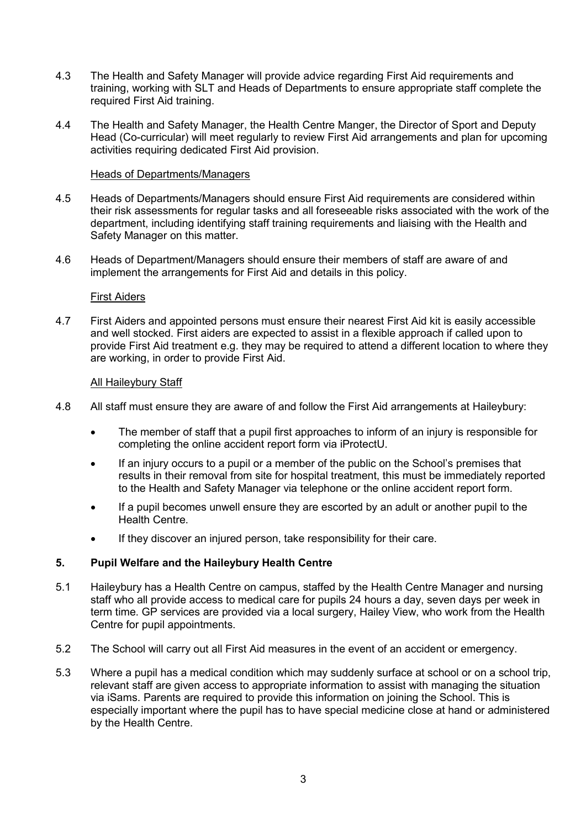- 4.3 The Health and Safety Manager will provide advice regarding First Aid requirements and training, working with SLT and Heads of Departments to ensure appropriate staff complete the required First Aid training.
- 4.4 The Health and Safety Manager, the Health Centre Manger, the Director of Sport and Deputy Head (Co-curricular) will meet regularly to review First Aid arrangements and plan for upcoming activities requiring dedicated First Aid provision.

#### Heads of Departments/Managers

- 4.5 Heads of Departments/Managers should ensure First Aid requirements are considered within their risk assessments for regular tasks and all foreseeable risks associated with the work of the department, including identifying staff training requirements and liaising with the Health and Safety Manager on this matter.
- 4.6 Heads of Department/Managers should ensure their members of staff are aware of and implement the arrangements for First Aid and details in this policy.

#### First Aiders

4.7 First Aiders and appointed persons must ensure their nearest First Aid kit is easily accessible and well stocked. First aiders are expected to assist in a flexible approach if called upon to provide First Aid treatment e.g. they may be required to attend a different location to where they are working, in order to provide First Aid.

#### All Haileybury Staff

- 4.8 All staff must ensure they are aware of and follow the First Aid arrangements at Haileybury:
	- The member of staff that a pupil first approaches to inform of an injury is responsible for completing the online accident report form via iProtectU.
	- If an injury occurs to a pupil or a member of the public on the School's premises that results in their removal from site for hospital treatment, this must be immediately reported to the Health and Safety Manager via telephone or the online accident report form.
	- If a pupil becomes unwell ensure they are escorted by an adult or another pupil to the Health Centre.
	- If they discover an injured person, take responsibility for their care.

## **5. Pupil Welfare and the Haileybury Health Centre**

- 5.1 Haileybury has a Health Centre on campus, staffed by the Health Centre Manager and nursing staff who all provide access to medical care for pupils 24 hours a day, seven days per week in term time. GP services are provided via a local surgery, Hailey View, who work from the Health Centre for pupil appointments.
- 5.2 The School will carry out all First Aid measures in the event of an accident or emergency.
- 5.3 Where a pupil has a medical condition which may suddenly surface at school or on a school trip, relevant staff are given access to appropriate information to assist with managing the situation via iSams. Parents are required to provide this information on joining the School. This is especially important where the pupil has to have special medicine close at hand or administered by the Health Centre.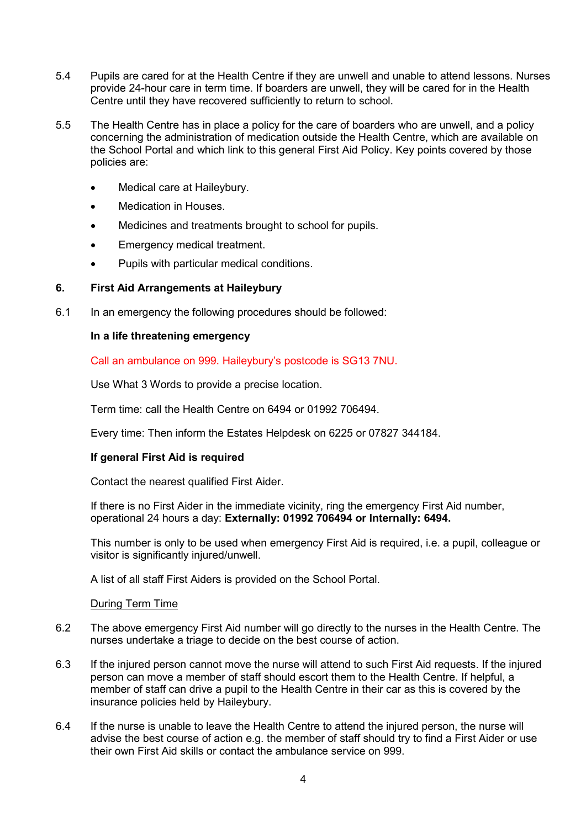- 5.4 Pupils are cared for at the Health Centre if they are unwell and unable to attend lessons. Nurses provide 24-hour care in term time. If boarders are unwell, they will be cared for in the Health Centre until they have recovered sufficiently to return to school.
- 5.5 The Health Centre has in place a policy for the care of boarders who are unwell, and a policy concerning the administration of medication outside the Health Centre, which are available on the School Portal and which link to this general First Aid Policy. Key points covered by those policies are:
	- Medical care at Haileybury.
	- Medication in Houses.
	- Medicines and treatments brought to school for pupils.
	- Emergency medical treatment.
	- Pupils with particular medical conditions.

# **6. First Aid Arrangements at Haileybury**

6.1 In an emergency the following procedures should be followed:

## **In a life threatening emergency**

Call an ambulance on 999. Haileybury's postcode is SG13 7NU.

Use What 3 Words to provide a precise location.

Term time: call the Health Centre on 6494 or 01992 706494.

Every time: Then inform the Estates Helpdesk on 6225 or 07827 344184.

## **If general First Aid is required**

Contact the nearest qualified First Aider.

If there is no First Aider in the immediate vicinity, ring the emergency First Aid number, operational 24 hours a day: **Externally: 01992 706494 or Internally: 6494.**

This number is only to be used when emergency First Aid is required, i.e. a pupil, colleague or visitor is significantly injured/unwell.

A list of all staff First Aiders is provided on the School Portal.

#### During Term Time

- 6.2 The above emergency First Aid number will go directly to the nurses in the Health Centre. The nurses undertake a triage to decide on the best course of action.
- 6.3 If the injured person cannot move the nurse will attend to such First Aid requests. If the injured person can move a member of staff should escort them to the Health Centre. If helpful, a member of staff can drive a pupil to the Health Centre in their car as this is covered by the insurance policies held by Haileybury.
- 6.4 If the nurse is unable to leave the Health Centre to attend the injured person, the nurse will advise the best course of action e.g. the member of staff should try to find a First Aider or use their own First Aid skills or contact the ambulance service on 999.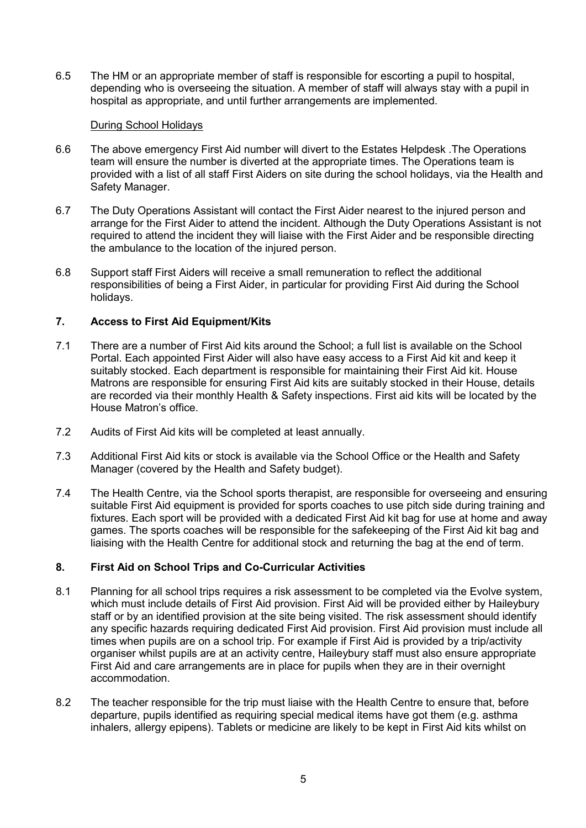6.5 The HM or an appropriate member of staff is responsible for escorting a pupil to hospital, depending who is overseeing the situation. A member of staff will always stay with a pupil in hospital as appropriate, and until further arrangements are implemented.

#### During School Holidays

- 6.6 The above emergency First Aid number will divert to the Estates Helpdesk .The Operations team will ensure the number is diverted at the appropriate times. The Operations team is provided with a list of all staff First Aiders on site during the school holidays, via the Health and Safety Manager.
- 6.7 The Duty Operations Assistant will contact the First Aider nearest to the injured person and arrange for the First Aider to attend the incident. Although the Duty Operations Assistant is not required to attend the incident they will liaise with the First Aider and be responsible directing the ambulance to the location of the injured person.
- 6.8 Support staff First Aiders will receive a small remuneration to reflect the additional responsibilities of being a First Aider, in particular for providing First Aid during the School holidays.

## **7. Access to First Aid Equipment/Kits**

- 7.1 There are a number of First Aid kits around the School; a full list is available on the School Portal. Each appointed First Aider will also have easy access to a First Aid kit and keep it suitably stocked. Each department is responsible for maintaining their First Aid kit. House Matrons are responsible for ensuring First Aid kits are suitably stocked in their House, details are recorded via their monthly Health & Safety inspections. First aid kits will be located by the House Matron's office.
- 7.2 Audits of First Aid kits will be completed at least annually.
- 7.3 Additional First Aid kits or stock is available via the School Office or the Health and Safety Manager (covered by the Health and Safety budget).
- 7.4 The Health Centre, via the School sports therapist, are responsible for overseeing and ensuring suitable First Aid equipment is provided for sports coaches to use pitch side during training and fixtures. Each sport will be provided with a dedicated First Aid kit bag for use at home and away games. The sports coaches will be responsible for the safekeeping of the First Aid kit bag and liaising with the Health Centre for additional stock and returning the bag at the end of term.

## **8. First Aid on School Trips and Co-Curricular Activities**

- 8.1 Planning for all school trips requires a risk assessment to be completed via the Evolve system, which must include details of First Aid provision. First Aid will be provided either by Haileybury staff or by an identified provision at the site being visited. The risk assessment should identify any specific hazards requiring dedicated First Aid provision. First Aid provision must include all times when pupils are on a school trip. For example if First Aid is provided by a trip/activity organiser whilst pupils are at an activity centre, Haileybury staff must also ensure appropriate First Aid and care arrangements are in place for pupils when they are in their overnight accommodation.
- 8.2 The teacher responsible for the trip must liaise with the Health Centre to ensure that, before departure, pupils identified as requiring special medical items have got them (e.g. asthma inhalers, allergy epipens). Tablets or medicine are likely to be kept in First Aid kits whilst on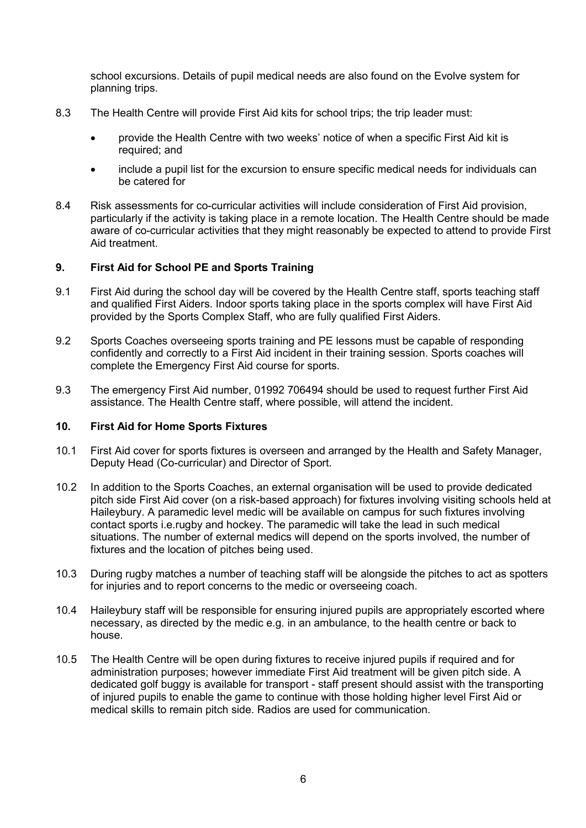school excursions. Details of pupil medical needs are also found on the Evolve system for planning trips.

- 8.3 The Health Centre will provide First Aid kits for school trips; the trip leader must:
	- provide the Health Centre with two weeks' notice of when a specific First Aid kit is required; and
	- include a pupil list for the excursion to ensure specific medical needs for individuals can be catered for
- 8.4 Risk assessments for co-curricular activities will include consideration of First Aid provision, particularly if the activity is taking place in a remote location. The Health Centre should be made aware of co-curricular activities that they might reasonably be expected to attend to provide First Aid treatment.

## **9. First Aid for School PE and Sports Training**

- 9.1 First Aid during the school day will be covered by the Health Centre staff, sports teaching staff and qualified First Aiders. Indoor sports taking place in the sports complex will have First Aid provided by the Sports Complex Staff, who are fully qualified First Aiders.
- 9.2 Sports Coaches overseeing sports training and PE lessons must be capable of responding confidently and correctly to a First Aid incident in their training session. Sports coaches will complete the Emergency First Aid course for sports.
- 9.3 The emergency First Aid number, 01992 706494 should be used to request further First Aid assistance. The Health Centre staff, where possible, will attend the incident.

#### **10. First Aid for Home Sports Fixtures**

- 10.1 First Aid cover for sports fixtures is overseen and arranged by the Health and Safety Manager, Deputy Head (Co-curricular) and Director of Sport.
- 10.2 In addition to the Sports Coaches, an external organisation will be used to provide dedicated pitch side First Aid cover (on a risk-based approach) for fixtures involving visiting schools held at Haileybury. A paramedic level medic will be available on campus for such fixtures involving contact sports i.e.rugby and hockey. The paramedic will take the lead in such medical situations. The number of external medics will depend on the sports involved, the number of fixtures and the location of pitches being used.
- 10.3 During rugby matches a number of teaching staff will be alongside the pitches to act as spotters for injuries and to report concerns to the medic or overseeing coach.
- 10.4 Haileybury staff will be responsible for ensuring injured pupils are appropriately escorted where necessary, as directed by the medic e.g. in an ambulance, to the health centre or back to house.
- 10.5 The Health Centre will be open during fixtures to receive injured pupils if required and for administration purposes; however immediate First Aid treatment will be given pitch side. A dedicated golf buggy is available for transport - staff present should assist with the transporting of injured pupils to enable the game to continue with those holding higher level First Aid or medical skills to remain pitch side. Radios are used for communication.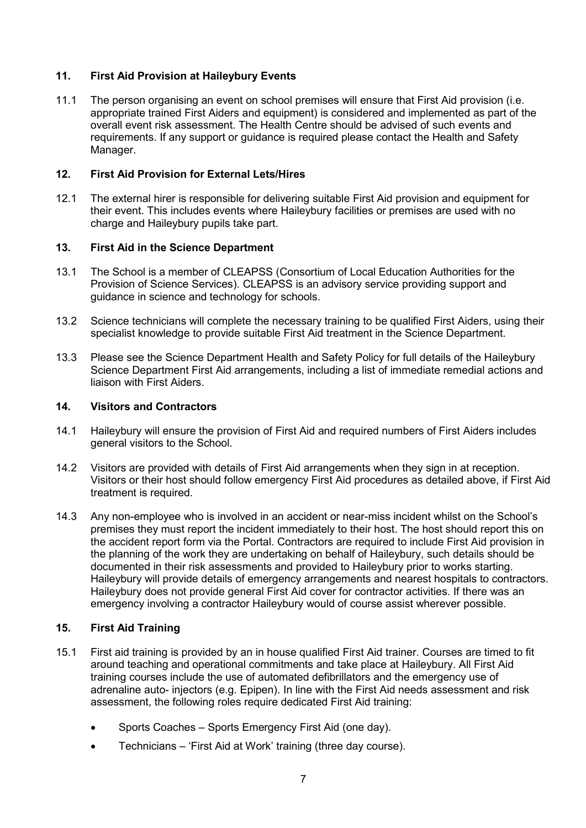# **11. First Aid Provision at Haileybury Events**

11.1 The person organising an event on school premises will ensure that First Aid provision (i.e. appropriate trained First Aiders and equipment) is considered and implemented as part of the overall event risk assessment. The Health Centre should be advised of such events and requirements. If any support or guidance is required please contact the Health and Safety Manager.

## **12. First Aid Provision for External Lets/Hires**

12.1 The external hirer is responsible for delivering suitable First Aid provision and equipment for their event. This includes events where Haileybury facilities or premises are used with no charge and Haileybury pupils take part.

#### **13. First Aid in the Science Department**

- 13.1 The School is a member of CLEAPSS (Consortium of Local Education Authorities for the Provision of Science Services). CLEAPSS is an advisory service providing support and guidance in science and technology for schools.
- 13.2 Science technicians will complete the necessary training to be qualified First Aiders, using their specialist knowledge to provide suitable First Aid treatment in the Science Department.
- 13.3 Please see the Science Department Health and Safety Policy for full details of the Haileybury Science Department First Aid arrangements, including a list of immediate remedial actions and liaison with First Aiders.

## **14. Visitors and Contractors**

- 14.1 Haileybury will ensure the provision of First Aid and required numbers of First Aiders includes general visitors to the School.
- 14.2 Visitors are provided with details of First Aid arrangements when they sign in at reception. Visitors or their host should follow emergency First Aid procedures as detailed above, if First Aid treatment is required.
- 14.3 Any non-employee who is involved in an accident or near-miss incident whilst on the School's premises they must report the incident immediately to their host. The host should report this on the accident report form via the Portal. Contractors are required to include First Aid provision in the planning of the work they are undertaking on behalf of Haileybury, such details should be documented in their risk assessments and provided to Haileybury prior to works starting. Haileybury will provide details of emergency arrangements and nearest hospitals to contractors. Haileybury does not provide general First Aid cover for contractor activities. If there was an emergency involving a contractor Haileybury would of course assist wherever possible.

## **15. First Aid Training**

- 15.1 First aid training is provided by an in house qualified First Aid trainer. Courses are timed to fit around teaching and operational commitments and take place at Haileybury. All First Aid training courses include the use of automated defibrillators and the emergency use of adrenaline auto- injectors (e.g. Epipen). In line with the First Aid needs assessment and risk assessment, the following roles require dedicated First Aid training:
	- Sports Coaches Sports Emergency First Aid (one day).
	- Technicians 'First Aid at Work' training (three day course).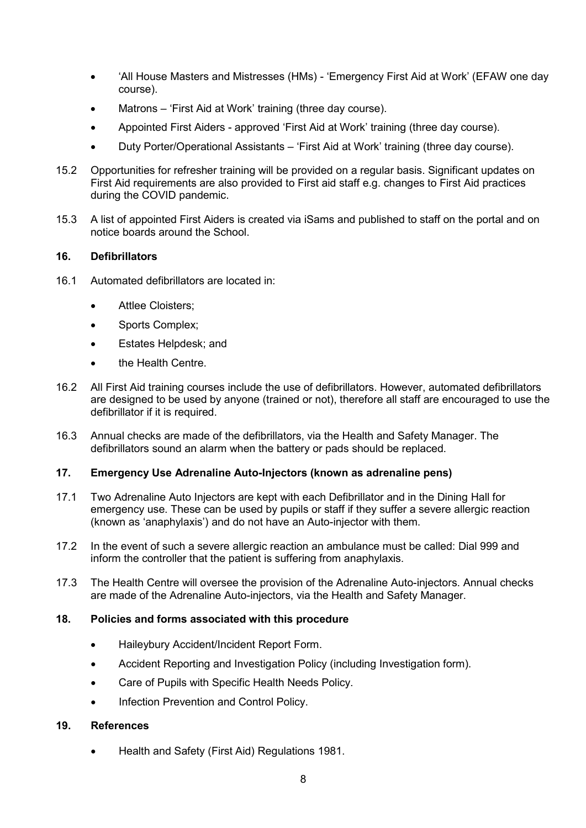- 'All House Masters and Mistresses (HMs) 'Emergency First Aid at Work' (EFAW one day course).
- Matrons 'First Aid at Work' training (three day course).
- Appointed First Aiders approved 'First Aid at Work' training (three day course).
- Duty Porter/Operational Assistants 'First Aid at Work' training (three day course).
- 15.2 Opportunities for refresher training will be provided on a regular basis. Significant updates on First Aid requirements are also provided to First aid staff e.g. changes to First Aid practices during the COVID pandemic.
- 15.3 A list of appointed First Aiders is created via iSams and published to staff on the portal and on notice boards around the School.

# **16. Defibrillators**

- 16.1 Automated defibrillators are located in:
	- **Attlee Cloisters;**
	- Sports Complex;
	- Estates Helpdesk; and
	- the Health Centre.
- 16.2 All First Aid training courses include the use of defibrillators. However, automated defibrillators are designed to be used by anyone (trained or not), therefore all staff are encouraged to use the defibrillator if it is required.
- 16.3 Annual checks are made of the defibrillators, via the Health and Safety Manager. The defibrillators sound an alarm when the battery or pads should be replaced.

## **17. Emergency Use Adrenaline Auto-Injectors (known as adrenaline pens)**

- 17.1 Two Adrenaline Auto Injectors are kept with each Defibrillator and in the Dining Hall for emergency use. These can be used by pupils or staff if they suffer a severe allergic reaction (known as 'anaphylaxis') and do not have an Auto-injector with them.
- 17.2 In the event of such a severe allergic reaction an ambulance must be called: Dial 999 and inform the controller that the patient is suffering from anaphylaxis.
- 17.3 The Health Centre will oversee the provision of the Adrenaline Auto-injectors. Annual checks are made of the Adrenaline Auto-injectors, via the Health and Safety Manager.

## **18. Policies and forms associated with this procedure**

- Haileybury Accident/Incident Report Form.
- Accident Reporting and Investigation Policy (including Investigation form).
- Care of Pupils with Specific Health Needs Policy.
- Infection Prevention and Control Policy.

## **19. References**

• Health and Safety (First Aid) Regulations 1981.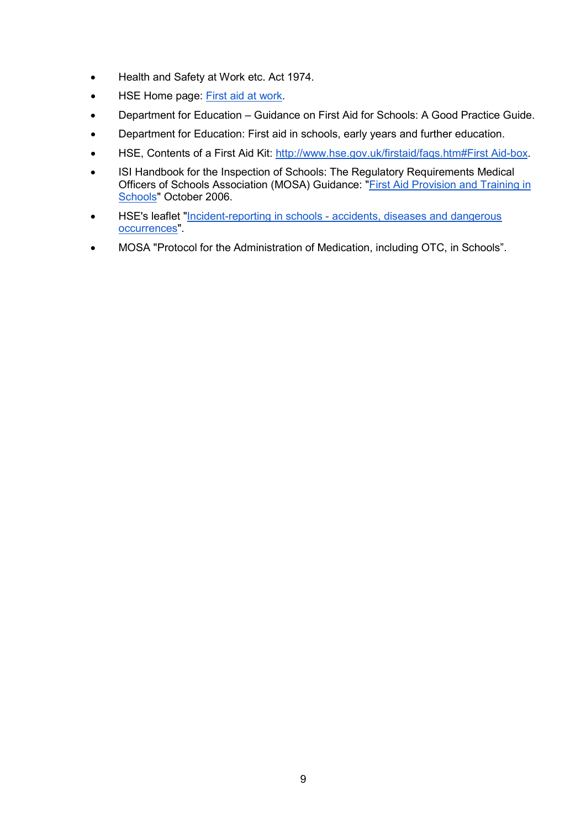- Health and Safety at Work etc. Act 1974.
- HSE Home page: [First aid at work.](https://www.hse.gov.uk/firstaid/index.htm)
- Department for Education Guidance on First Aid for Schools: A Good Practice Guide.
- Department for Education: [First aid in schools, early years and further education.](https://www.gov.uk/government/publications/first-aid-in-schools/first-aid-in-schools-early-years-and-further-education)
- HSE, Contents of a First Aid Kit: [http://www.hse.gov.uk/firstaid/faqs.htm#First Aid-box.](http://www.hse.gov.uk/firstaid/faqs.htm#first-aid-box)
- ISI Handbook for the Inspection of Schools: The Regulatory Requirements Medical Officers of Schools Association (MOSA) Guidance: ["First Aid Provision and Training in](https://www.mosa.org.uk/)  [Schools"](https://www.mosa.org.uk/) October 2006.
- HSE's leaflet "Incident-reporting in schools [accidents, diseases and dangerous](https://www.hse.gov.uk/pubns/edis1.pdf)  [occurrences"](https://www.hse.gov.uk/pubns/edis1.pdf).
- MOSA "Protocol for the Administration of Medication, including OTC, in Schools".